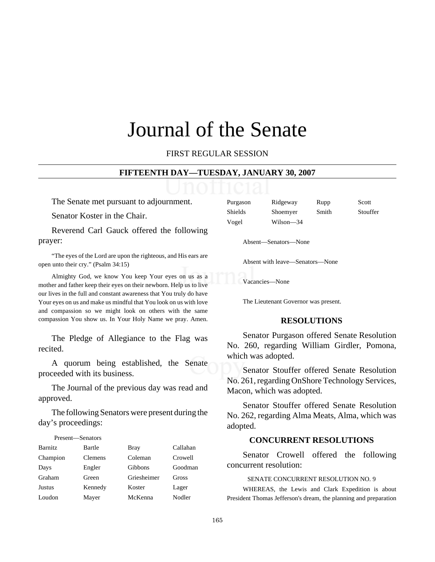# Journal of the Senate

FIRST REGULAR SESSION

#### **FIFTEENTH DAY—TUESDAY, JANUARY 30, 2007**

The Senate met pursuant to adjournment.

Senator Koster in the Chair.

Reverend Carl Gauck offered the following prayer:

"The eyes of the Lord are upon the righteous, and His ears are open unto their cry." (Psalm 34:15)

Almighty God, we know You keep Your eyes on us as a mother and father keep their eyes on their newborn. Help us to live our lives in the full and constant awareness that You truly do have Your eyes on us and make us mindful that You look on us with love and compassion so we might look on others with the same compassion You show us. In Your Holy Name we pray. Amen.

The Pledge of Allegiance to the Flag was recited.

A quorum being established, the Senate proceeded with its business.

The Journal of the previous day was read and approved.

The following Senators were present during the day's proceedings:

| Present—Senators |         |             |          |
|------------------|---------|-------------|----------|
| <b>Barnitz</b>   | Bartle  | Bray        | Callahan |
| Champion         | Clemens | Coleman     | Crowell  |
| Days             | Engler  | Gibbons     | Goodman  |
| Graham           | Green   | Griesheimer | Gross    |
| <b>Justus</b>    | Kennedy | Koster      | Lager    |
| Loudon           | Mayer   | McKenna     | Nodler   |

| Purgason | Ridgeway  | Rupp  | Scott    |
|----------|-----------|-------|----------|
| Shields  | Shoemyer  | Smith | Stouffer |
| Vogel    | Wilson—34 |       |          |

Absent—Senators—None

Absent with leave—Senators—None

Vacancies—None

The Lieutenant Governor was present.

#### **RESOLUTIONS**

 Senator Purgason offered Senate Resolution No. 260, regarding William Girdler, Pomona, which was adopted.

Senator Stouffer offered Senate Resolution No. 261, regarding OnShore Technology Services, Macon, which was adopted.

Senator Stouffer offered Senate Resolution No. 262, regarding Alma Meats, Alma, which was adopted.

## **CONCURRENT RESOLUTIONS**

Senator Crowell offered the following concurrent resolution:

#### SENATE CONCURRENT RESOLUTION NO. 9

WHEREAS, the Lewis and Clark Expedition is about President Thomas Jefferson's dream, the planning and preparation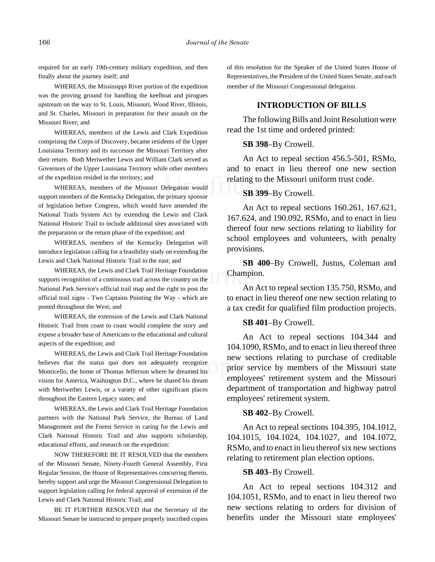166 *Journal of the Senate*

required for an early 19th-century military expedition, and then finally about the journey itself; and

WHEREAS, the Mississippi River portion of the expedition was the proving ground for handling the keelboat and pirogues upstream on the way to St. Louis, Missouri, Wood River, Illinois, and St. Charles, Missouri in preparation for their assault on the Missouri River; and

WHEREAS, members of the Lewis and Clark Expedition comprising the Corps of Discovery, became residents of the Upper Louisiana Territory and its successor the Missouri Territory after their return. Both Meriwether Lewis and William Clark served as Governors of the Upper Louisiana Territory while other members of the expedition resided in the territory; and

WHEREAS, members of the Missouri Delegation would support members of the Kentucky Delegation, the primary sponsor of legislation before Congress, which would have amended the National Trails System Act by extending the Lewis and Clark National Historic Trail to include additional sites associated with the preparation or the return phase of the expedition; and

WHEREAS, members of the Kentucky Delegation will introduce legislation calling for a feasibility study on extending the Lewis and Clark National Historic Trail to the east; and

WHEREAS, the Lewis and Clark Trail Heritage Foundation supports recognition of a continuous trail across the country on the National Park Service's official trail map and the right to post the official trail signs - Two Captains Pointing the Way - which are posted throughout the West; and

WHEREAS, the extension of the Lewis and Clark National Historic Trail from coast to coast would complete the story and expose a broader base of Americans to the educational and cultural aspects of the expedition; and

WHEREAS, the Lewis and Clark Trail Heritage Foundation believes that the status quo does not adequately recognize Monticello, the home of Thomas Jefferson where he dreamed his vision for America, Washington D.C., where he shared his dream with Meriwether Lewis, or a variety of other significant places throughout the Eastern Legacy states; and

WHEREAS, the Lewis and Clark Trail Heritage Foundation partners with the National Park Service, the Bureau of Land Management and the Forest Service in caring for the Lewis and Clark National Historic Trail and also supports scholarship, educational efforts, and research on the expedition:

NOW THEREFORE BE IT RESOLVED that the members of the Missouri Senate, Ninety-Fourth General Assembly, First Regular Session, the House of Representatives concurring therein, hereby support and urge the Missouri Congressional Delegation to support legislation calling for federal approval of extension of the Lewis and Clark National Historic Trail; and

BE IT FURTHER RESOLVED that the Secretary of the Missouri Senate be instructed to prepare properly inscribed copies

of this resolution for the Speaker of the United States House of Representatives, the President of the United States Senate, and each member of the Missouri Congressional delegation.

## **INTRODUCTION OF BILLS**

The following Bills and Joint Resolution were read the 1st time and ordered printed:

#### **SB 398**–By Crowell.

An Act to repeal section 456.5-501, RSMo, and to enact in lieu thereof one new section relating to the Missouri uniform trust code.

#### **SB 399**–By Crowell.

An Act to repeal sections 160.261, 167.621, 167.624, and 190.092, RSMo, and to enact in lieu thereof four new sections relating to liability for school employees and volunteers, with penalty provisions.

**SB 400**–By Crowell, Justus, Coleman and Champion.

An Act to repeal section 135.750, RSMo, and to enact in lieu thereof one new section relating to a tax credit for qualified film production projects.

#### **SB 401**–By Crowell.

An Act to repeal sections 104.344 and 104.1090, RSMo, and to enact in lieu thereof three new sections relating to purchase of creditable prior service by members of the Missouri state employees' retirement system and the Missouri department of transportation and highway patrol employees' retirement system.

#### **SB 402**–By Crowell.

An Act to repeal sections 104.395, 104.1012, 104.1015, 104.1024, 104.1027, and 104.1072, RSMo, and to enact in lieu thereof six new sections relating to retirement plan election options.

#### **SB 403**–By Crowell.

An Act to repeal sections 104.312 and 104.1051, RSMo, and to enact in lieu thereof two new sections relating to orders for division of benefits under the Missouri state employees'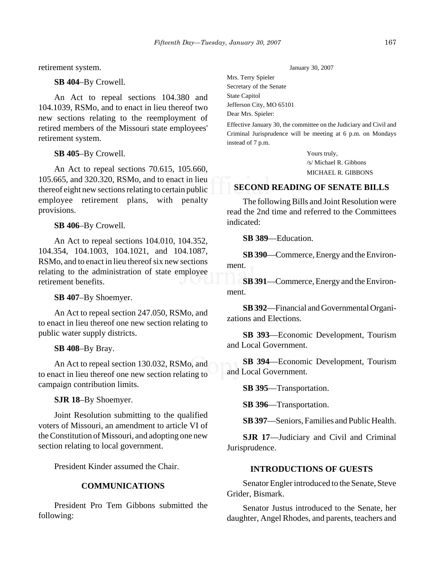retirement system.

**SB 404**–By Crowell.

An Act to repeal sections 104.380 and 104.1039, RSMo, and to enact in lieu thereof two new sections relating to the reemployment of retired members of the Missouri state employees' retirement system.

**SB 405**–By Crowell.

An Act to repeal sections 70.615, 105.660, 105.665, and 320.320, RSMo, and to enact in lieu thereof eight new sections relating to certain public employee retirement plans, with penalty provisions.

**SB 406**–By Crowell.

An Act to repeal sections 104.010, 104.352, 104.354, 104.1003, 104.1021, and 104.1087, RSMo, and to enact in lieu thereof six new sections relating to the administration of state employee retirement benefits.

**SB 407**–By Shoemyer.

An Act to repeal section 247.050, RSMo, and to enact in lieu thereof one new section relating to public water supply districts.

**SB 408**–By Bray.

An Act to repeal section 130.032, RSMo, and to enact in lieu thereof one new section relating to campaign contribution limits.

**SJR 18**–By Shoemyer.

Joint Resolution submitting to the qualified voters of Missouri, an amendment to article VI of the Constitution of Missouri, and adopting one new section relating to local government.

President Kinder assumed the Chair.

## **COMMUNICATIONS**

President Pro Tem Gibbons submitted the following:

January 30, 2007

Mrs. Terry Spieler Secretary of the Senate State Capitol Jefferson City, MO 65101 Dear Mrs. Spieler:

Effective January 30, the committee on the Judiciary and Civil and Criminal Jurisprudence will be meeting at 6 p.m. on Mondays instead of 7 p.m.

> Yours truly, /s/ Michael R. Gibbons MICHAEL R. GIBBONS

# **SECOND READING OF SENATE BILLS**

The following Bills and Joint Resolution were read the 2nd time and referred to the Committees indicated:

**SB 389**—Education.

**SB 390**—Commerce, Energy and the Environment.

**SB 391**—Commerce, Energy and the Environment.

**SB 392**—Financial and Governmental Organizations and Elections.

**SB 393**—Economic Development, Tourism and Local Government.

**SB 394**—Economic Development, Tourism and Local Government.

**SB 395**—Transportation.

**SB 396**—Transportation.

**SB 397**—Seniors, Families and Public Health.

**SJR 17**—Judiciary and Civil and Criminal Jurisprudence.

## **INTRODUCTIONS OF GUESTS**

Senator Engler introduced to the Senate, Steve Grider, Bismark.

Senator Justus introduced to the Senate, her daughter, Angel Rhodes, and parents, teachers and